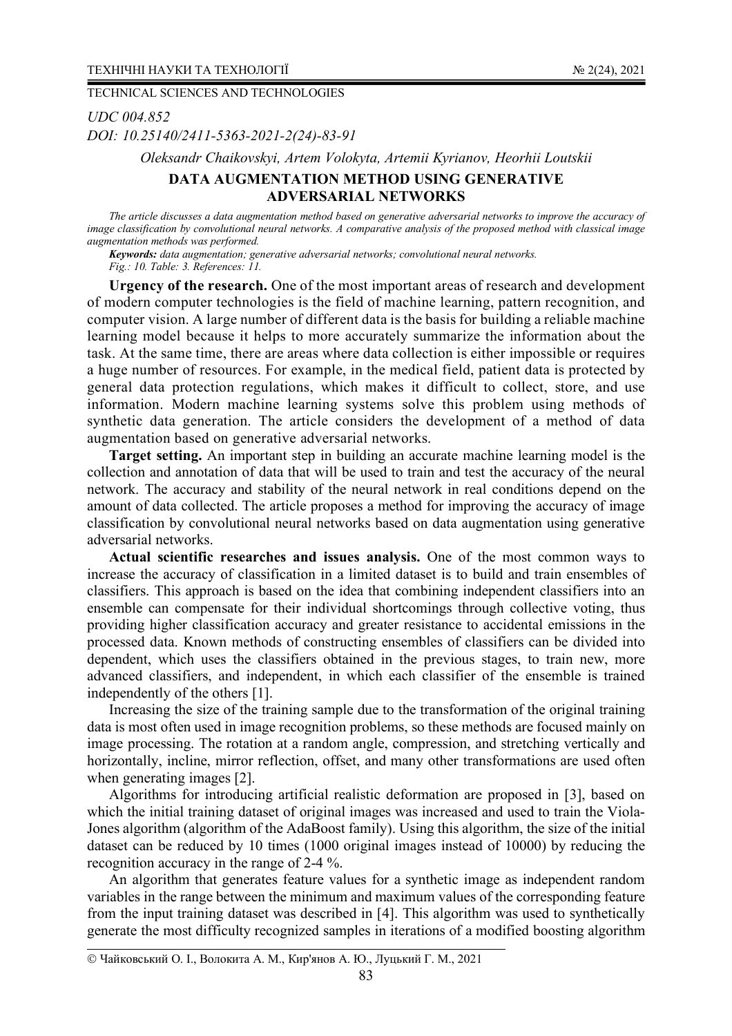*UDC 004.852 DOI: 10.25140/2411-5363-2021-2(24)-83-91* 

*Oleksandr Chaikovskyi, Artem Volokyta, Artemiі Kyrianov, Heorhii Loutskii* 

## **DATA AUGMENTATION METHOD USING GENERATIVE ADVERSARIAL NETWORKS**

*The article discusses a data augmentation method based on generative adversarial networks to improve the accuracy of image classification by convolutional neural networks. A comparative analysis of the proposed method with classical image augmentation methods was performed.* 

*Keywords: data augmentation; generative adversarial networks; convolutional neural networks. Fig.: 10. Table: 3. References: 11.* 

**Urgency of the research.** One of the most important areas of research and development of modern computer technologies is the field of machine learning, pattern recognition, and computer vision. A large number of different data is the basis for building a reliable machine learning model because it helps to more accurately summarize the information about the task. At the same time, there are areas where data collection is either impossible or requires a huge number of resources. For example, in the medical field, patient data is protected by general data protection regulations, which makes it difficult to collect, store, and use information. Modern machine learning systems solve this problem using methods of synthetic data generation. The article considers the development of a method of data augmentation based on generative adversarial networks.

**Target setting.** An important step in building an accurate machine learning model is the collection and annotation of data that will be used to train and test the accuracy of the neural network. The accuracy and stability of the neural network in real conditions depend on the amount of data collected. The article proposes a method for improving the accuracy of image classification by convolutional neural networks based on data augmentation using generative adversarial networks.

**Actual scientific researches and issues analysis.** One of the most common ways to increase the accuracy of classification in a limited dataset is to build and train ensembles of classifiers. This approach is based on the idea that combining independent classifiers into an ensemble can compensate for their individual shortcomings through collective voting, thus providing higher classification accuracy and greater resistance to accidental emissions in the processed data. Known methods of constructing ensembles of classifiers can be divided into dependent, which uses the classifiers obtained in the previous stages, to train new, more advanced classifiers, and independent, in which each classifier of the ensemble is trained independently of the others [1].

Increasing the size of the training sample due to the transformation of the original training data is most often used in image recognition problems, so these methods are focused mainly on image processing. The rotation at a random angle, compression, and stretching vertically and horizontally, incline, mirror reflection, offset, and many other transformations are used often when generating images [2].

Algorithms for introducing artificial realistic deformation are proposed in [3], based on which the initial training dataset of original images was increased and used to train the Viola-Jones algorithm (algorithm of the AdaBoost family). Using this algorithm, the size of the initial dataset can be reduced by 10 times (1000 original images instead of 10000) by reducing the recognition accuracy in the range of 2-4 %.

An algorithm that generates feature values for a synthetic image as independent random variables in the range between the minimum and maximum values of the corresponding feature from the input training dataset was described in [4]. This algorithm was used to synthetically generate the most difficulty recognized samples in iterations of a modified boosting algorithm

Чайковський О. І., Волокита А. М., Кир'янов А. Ю., Луцький Г. М., 2021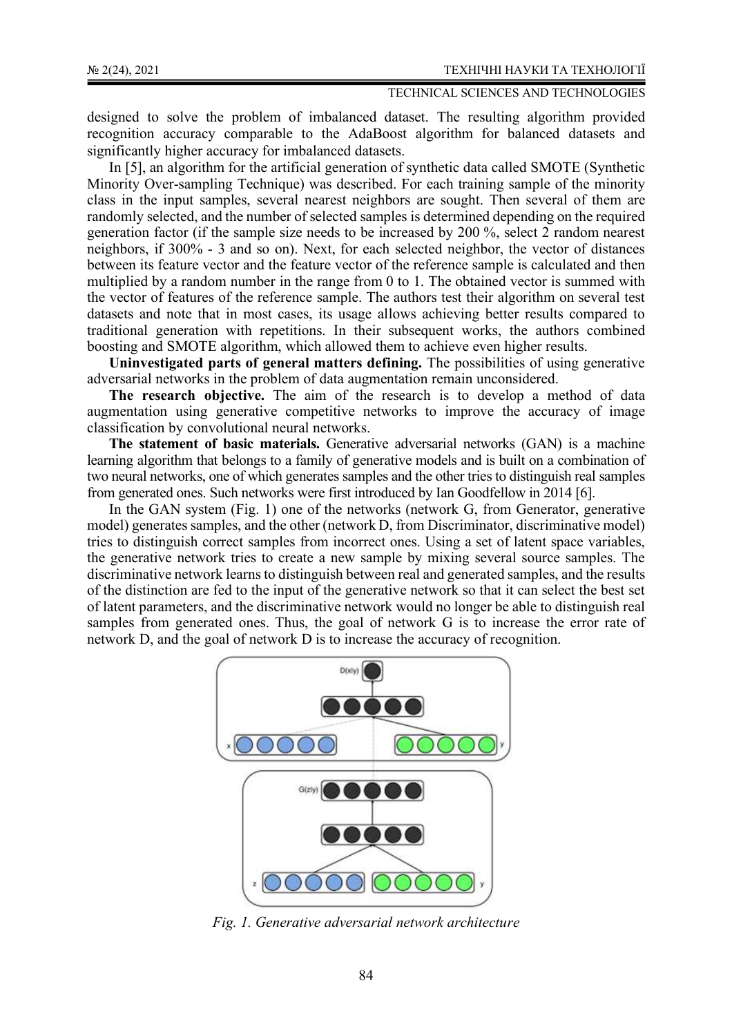designed to solve the problem of imbalanced dataset. The resulting algorithm provided recognition accuracy comparable to the AdaBoost algorithm for balanced datasets and significantly higher accuracy for imbalanced datasets.

In [5], an algorithm for the artificial generation of synthetic data called SMOTE (Synthetic Minority Over-sampling Technique) was described. For each training sample of the minority class in the input samples, several nearest neighbors are sought. Then several of them are randomly selected, and the number of selected samples is determined depending on the required generation factor (if the sample size needs to be increased by 200 %, select 2 random nearest neighbors, if 300% - 3 and so on). Next, for each selected neighbor, the vector of distances between its feature vector and the feature vector of the reference sample is calculated and then multiplied by a random number in the range from 0 to 1. The obtained vector is summed with the vector of features of the reference sample. The authors test their algorithm on several test datasets and note that in most cases, its usage allows achieving better results compared to traditional generation with repetitions. In their subsequent works, the authors combined boosting and SMOTE algorithm, which allowed them to achieve even higher results.

**Uninvestigated parts of general matters defining.** The possibilities of using generative adversarial networks in the problem of data augmentation remain unconsidered.

**The research objective.** The aim of the research is to develop a method of data augmentation using generative competitive networks to improve the accuracy of image classification by convolutional neural networks.

**The statement of basic materials.** Generative adversarial networks (GAN) is a machine learning algorithm that belongs to a family of generative models and is built on a combination of two neural networks, one of which generates samples and the other tries to distinguish real samples from generated ones. Such networks were first introduced by Ian Goodfellow in 2014 [6].

In the GAN system (Fig. 1) one of the networks (network G, from Generator, generative model) generates samples, and the other (network D, from Discriminator, discriminative model) tries to distinguish correct samples from incorrect ones. Using a set of latent space variables, the generative network tries to create a new sample by mixing several source samples. The discriminative network learns to distinguish between real and generated samples, and the results of the distinction are fed to the input of the generative network so that it can select the best set of latent parameters, and the discriminative network would no longer be able to distinguish real samples from generated ones. Thus, the goal of network G is to increase the error rate of network D, and the goal of network D is to increase the accuracy of recognition.



*Fig. 1. Generative adversarial network architecture*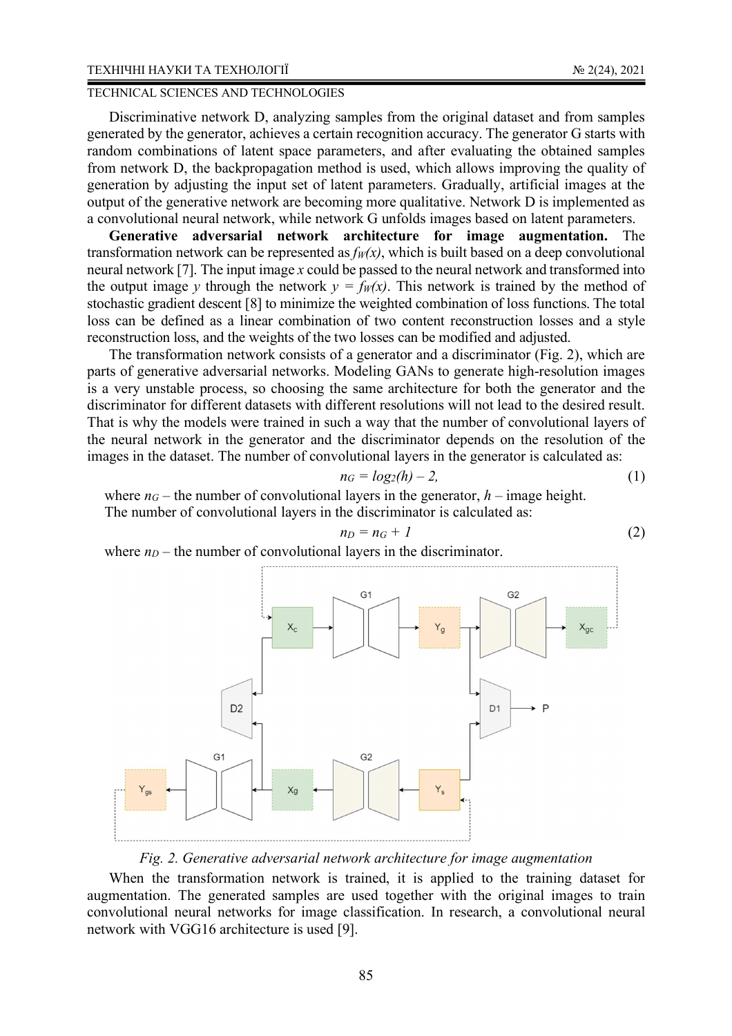#### ТЕХНІЧНІ НАУКИ ТА ТЕХНОЛОГІЇ № 2(24), 2021

## TECHNICAL SCIENCES AND TECHNOLOGIES

Discriminative network D, analyzing samples from the original dataset and from samples generated by the generator, achieves a certain recognition accuracy. The generator G starts with random combinations of latent space parameters, and after evaluating the obtained samples from network D, the backpropagation method is used, which allows improving the quality of generation by adjusting the input set of latent parameters. Gradually, artificial images at the output of the generative network are becoming more qualitative. Network D is implemented as a convolutional neural network, while network G unfolds images based on latent parameters.

**Generative adversarial network architecture for image augmentation.** The transformation network can be represented as  $f_W(x)$ , which is built based on a deep convolutional neural network [7]. The input image *x* could be passed to the neural network and transformed into the output image *y* through the network  $y = f_W(x)$ . This network is trained by the method of stochastic gradient descent [8] to minimize the weighted combination of loss functions. The total loss can be defined as a linear combination of two content reconstruction losses and a style reconstruction loss, and the weights of the two losses can be modified and adjusted.

The transformation network consists of a generator and a discriminator (Fig. 2), which are parts of generative adversarial networks. Modeling GANs to generate high-resolution images is a very unstable process, so choosing the same architecture for both the generator and the discriminator for different datasets with different resolutions will not lead to the desired result. That is why the models were trained in such a way that the number of convolutional layers of the neural network in the generator and the discriminator depends on the resolution of the images in the dataset. The number of convolutional layers in the generator is calculated as:

$$
n_G = log_2(h) - 2,\tag{1}
$$

where  $n<sub>G</sub>$  – the number of convolutional layers in the generator,  $h$  – image height. The number of convolutional layers in the discriminator is calculated as:

$$
n_D = n_G + 1 \tag{2}
$$

where  $n_D$  – the number of convolutional layers in the discriminator.



## *Fig. 2. Generative adversarial network architecture for image augmentation*

When the transformation network is trained, it is applied to the training dataset for augmentation. The generated samples are used together with the original images to train convolutional neural networks for image classification. In research, a convolutional neural network with VGG16 architecture is used [9].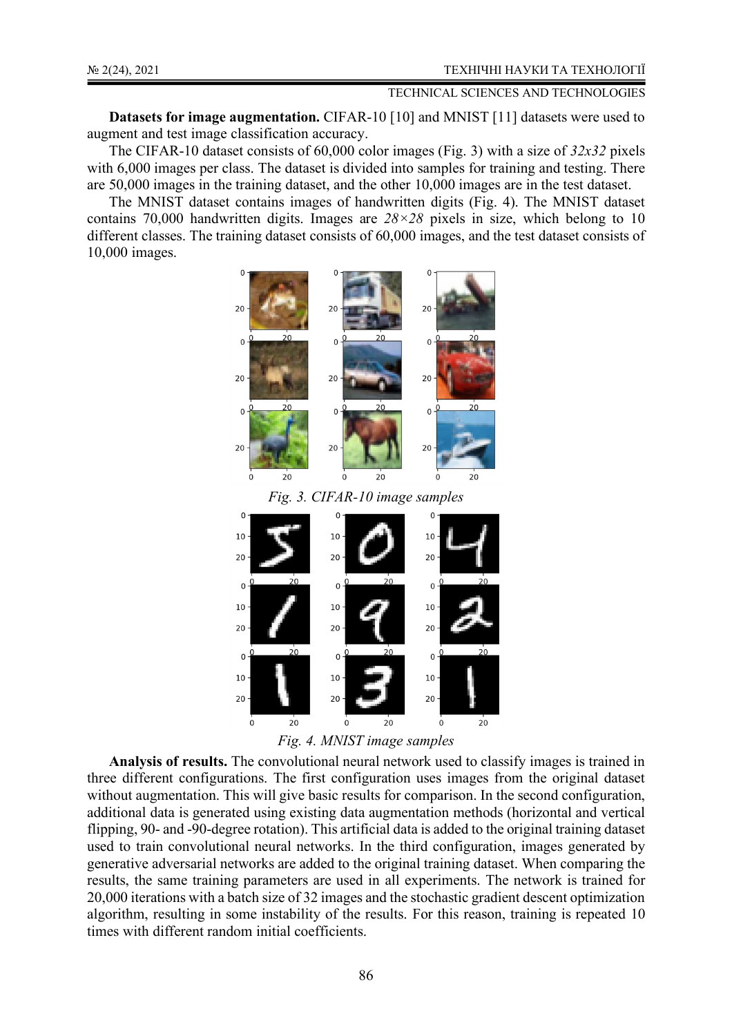**Datasets for image augmentation.** CIFAR-10 [10] and MNIST [11] datasets were used to augment and test image classification accuracy.

The CIFAR-10 dataset consists of 60,000 color images (Fig. 3) with a size of *32x32* pixels with 6,000 images per class. The dataset is divided into samples for training and testing. There are 50,000 images in the training dataset, and the other 10,000 images are in the test dataset.

The MNIST dataset contains images of handwritten digits (Fig. 4). The MNIST dataset contains 70,000 handwritten digits. Images are *28×28* pixels in size, which belong to 10 different classes. The training dataset consists of 60,000 images, and the test dataset consists of 10,000 images.





**Analysis of results.** The convolutional neural network used to classify images is trained in three different configurations. The first configuration uses images from the original dataset without augmentation. This will give basic results for comparison. In the second configuration, additional data is generated using existing data augmentation methods (horizontal and vertical flipping, 90- and -90-degree rotation). This artificial data is added to the original training dataset used to train convolutional neural networks. In the third configuration, images generated by generative adversarial networks are added to the original training dataset. When comparing the results, the same training parameters are used in all experiments. The network is trained for 20,000 iterations with a batch size of 32 images and the stochastic gradient descent optimization algorithm, resulting in some instability of the results. For this reason, training is repeated 10 times with different random initial coefficients.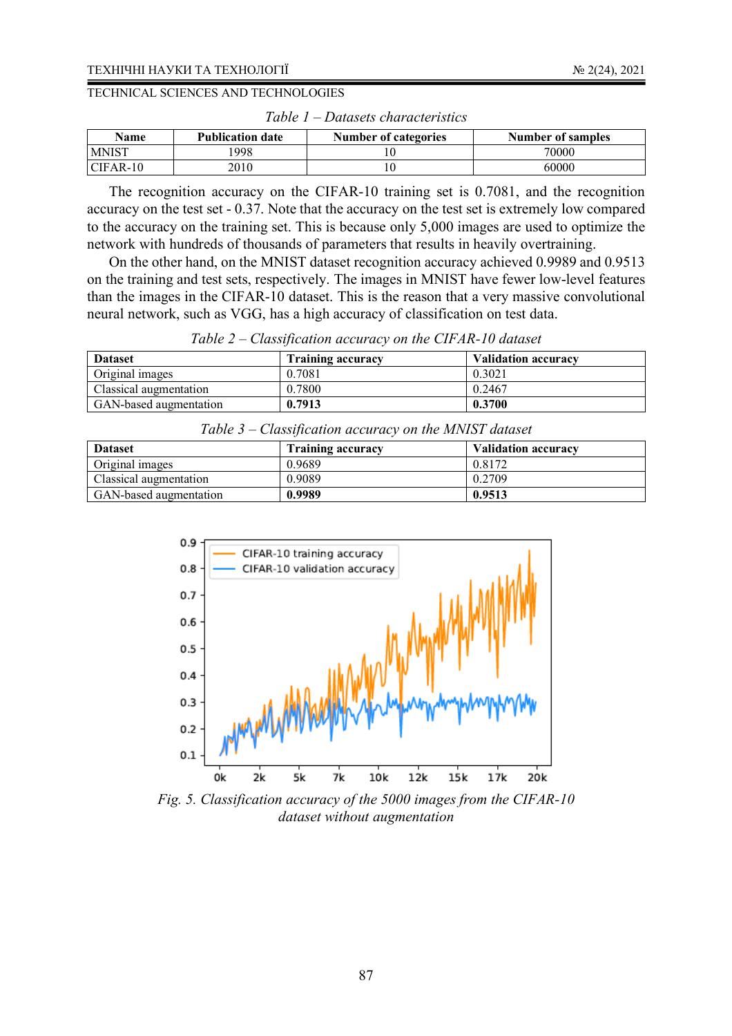| <b>Name</b>  | <b>Publication date</b> | <b>Number of categories</b> | Number of samples |
|--------------|-------------------------|-----------------------------|-------------------|
| <b>MNIST</b> | 998                     |                             | 70000             |
| $CFAR-10$    | 2010                    |                             | 60000             |

*Table 1 – Datasets characteristics* 

The recognition accuracy on the CIFAR-10 training set is 0.7081, and the recognition accuracy on the test set - 0.37. Note that the accuracy on the test set is extremely low compared to the accuracy on the training set. This is because only 5,000 images are used to optimize the network with hundreds of thousands of parameters that results in heavily overtraining.

On the other hand, on the MNIST dataset recognition accuracy achieved 0.9989 and 0.9513 on the training and test sets, respectively. The images in MNIST have fewer low-level features than the images in the CIFAR-10 dataset. This is the reason that a very massive convolutional neural network, such as VGG, has a high accuracy of classification on test data.

|  | Table $2$ – Classification accuracy on the CIFAR-10 dataset |
|--|-------------------------------------------------------------|
|  |                                                             |

| <b>Dataset</b>         | <b>Training accuracy</b> | <b>Validation accuracy</b> |
|------------------------|--------------------------|----------------------------|
| Original images        | 0.7081                   | 0.3021                     |
| Classical augmentation | 0.7800                   | 0.2467                     |
| GAN-based augmentation | 0.7913                   | 0.3700                     |

*Table 3 – Classification accuracy on the MNIST dataset* 

| <b>Dataset</b>         | <b>Training accuracy</b> | <b>Validation accuracy</b> |
|------------------------|--------------------------|----------------------------|
| Original images        | 0.9689                   | 0.8172                     |
| Classical augmentation | 0.9089                   | 0.2709                     |
| GAN-based augmentation | 0.9989                   | 0.9513                     |



*Fig. 5. Classification accuracy of the 5000 images from the CIFAR-10 dataset without augmentation*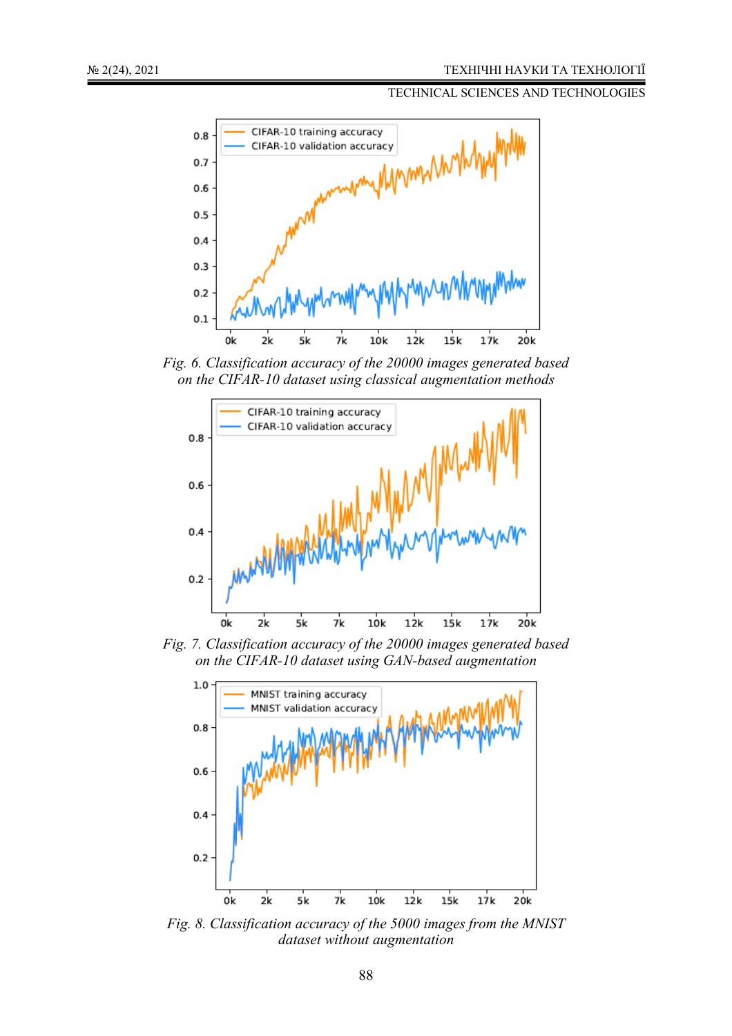

*Fig. 6. Classification accuracy of the 20000 images generated based on the CIFAR-10 dataset using classical augmentation methods* 



*Fig. 7. Classification accuracy of the 20000 images generated based on the CIFAR-10 dataset using GAN-based augmentation* 



*Fig. 8. Classification accuracy of the 5000 images from the MNIST dataset without augmentation*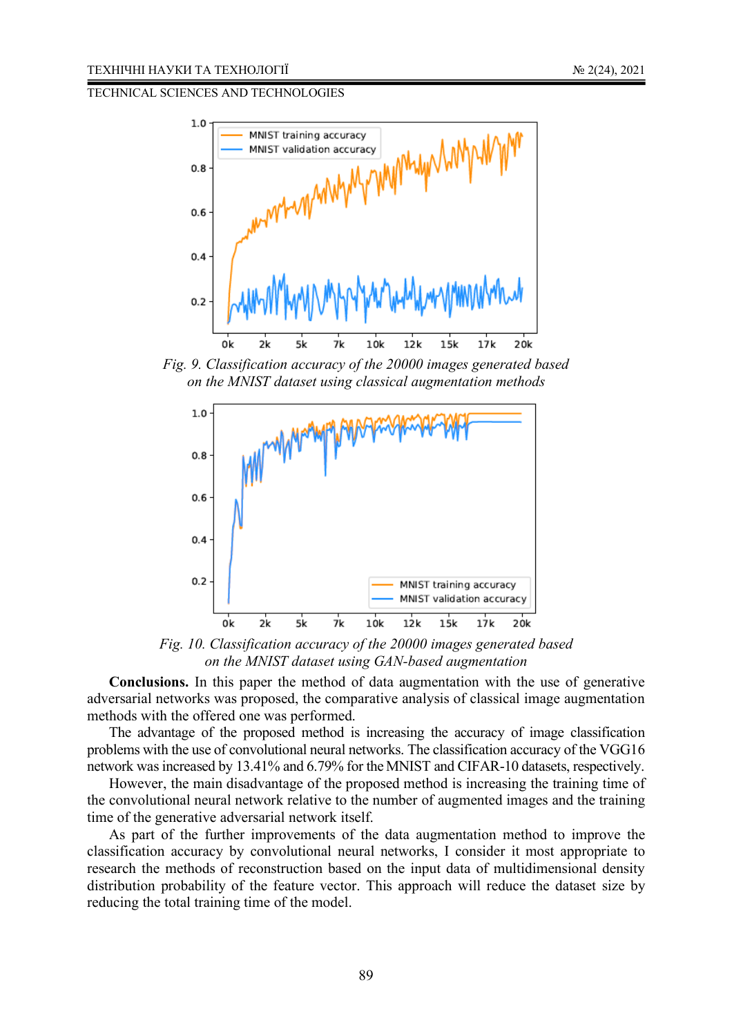

*Fig. 9. Classification accuracy of the 20000 images generated based on the MNIST dataset using classical augmentation methods* 



*Fig. 10. Classification accuracy of the 20000 images generated based on the MNIST dataset using GAN-based augmentation* 

**Conclusions.** In this paper the method of data augmentation with the use of generative adversarial networks was proposed, the comparative analysis of classical image augmentation methods with the offered one was performed.

The advantage of the proposed method is increasing the accuracy of image classification problems with the use of convolutional neural networks. The classification accuracy of the VGG16 network was increased by 13.41% and 6.79% for the MNIST and CIFAR-10 datasets, respectively.

However, the main disadvantage of the proposed method is increasing the training time of the convolutional neural network relative to the number of augmented images and the training time of the generative adversarial network itself.

As part of the further improvements of the data augmentation method to improve the classification accuracy by convolutional neural networks, I consider it most appropriate to research the methods of reconstruction based on the input data of multidimensional density distribution probability of the feature vector. This approach will reduce the dataset size by reducing the total training time of the model.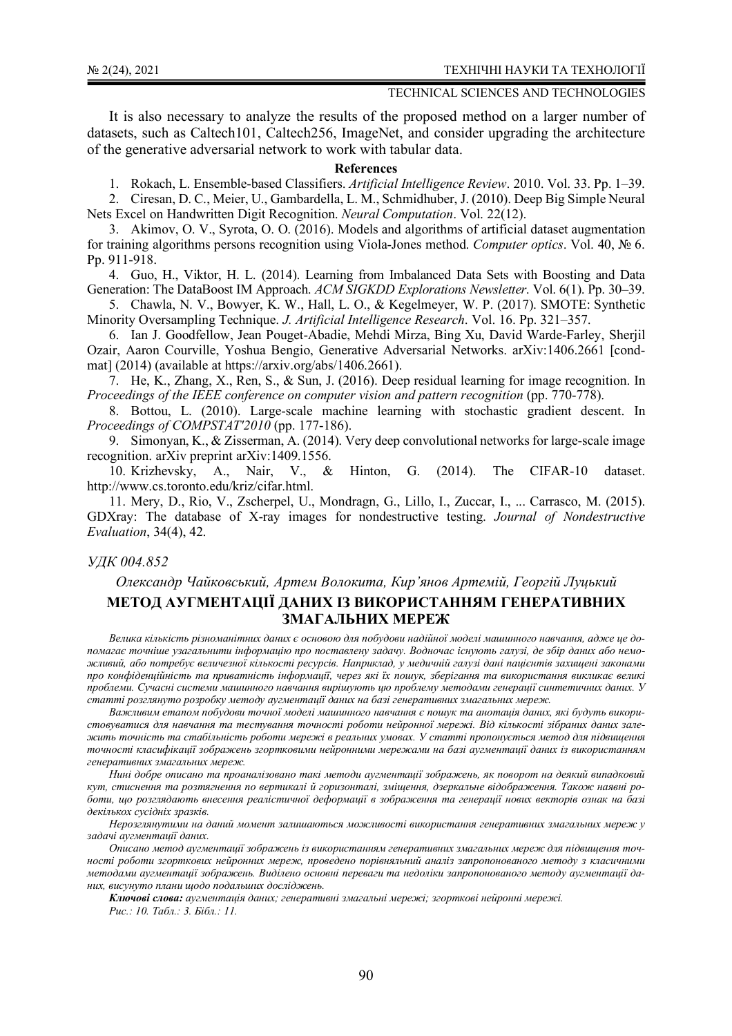It is also necessary to analyze the results of the proposed method on a larger number of datasets, such as Caltech101, Caltech256, ImageNet, and consider upgrading the architecture of the generative adversarial network to work with tabular data.

### **References**

1. Rokach, L. Ensemble-based Classifiers. *Artificial Intelligence Review*. 2010. Vol. 33. Pp. 1–39.

2. Ciresan, D. C., Meier, U., Gambardella, L. M., Schmidhuber, J. (2010). Deep Big Simple Neural Nets Excel on Handwritten Digit Recognition. *Neural Computation*. Vol. 22(12).

3. Akimov, O. V., Syrota, O. O. (2016). Models and algorithms of artificial dataset augmentation for training algorithms persons recognition using Viola-Jones method. *Computer optics*. Vol. 40, № 6. Pp. 911-918.

4. Guo, H., Viktor, H. L. (2014). Learning from Imbalanced Data Sets with Boosting and Data Generation: The DataBoost IM Approach. *ACM SIGKDD Explorations Newsletter*. Vol. 6(1). Pp. 30–39.

5. Chawla, N. V., Bowyer, K. W., Hall, L. O., & Kegelmeyer, W. P. (2017). SMOTE: Synthetic Minority Oversampling Technique. *J. Artificial Intelligence Research*. Vol. 16. Pp. 321–357.

6. Ian J. Goodfellow, Jean Pouget-Abadie, Mehdi Mirza, Bing Xu, David Warde-Farley, Sherjil Ozair, Aaron Courville, Yoshua Bengio, Generative Adversarial Networks. arXiv:1406.2661 [condmat] (2014) (available at https://arxiv.org/abs/1406.2661).

7. He, K., Zhang, X., Ren, S., & Sun, J. (2016). Deep residual learning for image recognition. In *Proceedings of the IEEE conference on computer vision and pattern recognition* (pp. 770-778).

8. Bottou, L. (2010). Large-scale machine learning with stochastic gradient descent. In *Proceedings of COMPSTAT'2010* (pp. 177-186).

9. Simonyan, K., & Zisserman, A. (2014). Very deep convolutional networks for large-scale image recognition. arXiv preprint arXiv:1409.1556.

10. Krizhevsky, A., Nair, V., & Hinton, G. (2014). The CIFAR-10 dataset. http://www.cs.toronto.edu/kriz/cifar.html.

11. Mery, D., Rio, V., Zscherpel, U., Mondragn, G., Lillo, I., Zuccar, I., ... Carrasco, M. (2015). GDXray: The database of X-ray images for nondestructive testing. *Journal of Nondestructive Evaluation*, 34(4), 42.

### *УДК 004.852*

# *Олександр Чайковський, Артем Волокита, Кир'янов Артемій, Георгій Луцький*  **МЕТОД АУГМЕНТАЦІЇ ДАНИХ ІЗ ВИКОРИСТАННЯМ ГЕНЕРАТИВНИХ ЗМАГАЛЬНИХ МЕРЕЖ**

*Велика кількість різноманітних даних є основою для побудови надійної моделі машинного навчання, адже це допомагає точніше узагальнити інформацію про поставлену задачу. Водночас існують галузі, де збір даних або неможливий, або потребує величезної кількості ресурсів. Наприклад, у медичній галузі дані пацієнтів захищені законами про конфіденційність та приватність інформації, через які їх пошук, зберігання та використання викликає великі проблеми. Сучасні системи машинного навчання вирішують цю проблему методами генерації синтетичних даних. У статті розглянуто розробку методу аугментації даних на базі генеративних змагальних мереж.* 

*Важливим етапом побудови точної моделі машинного навчання є пошук та анотація даних, які будуть використовуватися для навчання та тестування точності роботи нейронної мережі. Від кількості зібраних даних залежить точність та стабільність роботи мережі в реальних умовах. У статті пропонується метод для підвищення точності класифікації зображень згортковими нейронними мережами на базі аугментації даних із використанням генеративних змагальних мереж.* 

*Нині добре описано та проаналізовано такі методи аугментації зображень, як поворот на деякий випадковий кут, стиснення та розтягнення по вертикалі й горизонталі, зміщення, дзеркальне відображення. Також наявні роботи, що розглядають внесення реалістичної деформації в зображення та генерації нових векторів ознак на базі декількох сусідніх зразків.* 

*Нерозглянутими на даний момент залишаються можливості використання генеративних змагальних мереж у задачі аугментації даних.* 

*Описано метод аугментації зображень із використанням генеративних змагальних мереж для підвищення точності роботи згорткових нейронних мереж, проведено порівняльний аналіз запропонованого методу з класичними методами аугментації зображень. Виділено основні переваги та недоліки запропонованого методу аугментації даних, висунуто плани щодо подальших досліджень.* 

*Ключові слова: аугментація даних; генеративні змагальні мережі; згорткові нейронні мережі. Рис.: 10. Табл.: 3. Бібл.: 11.*